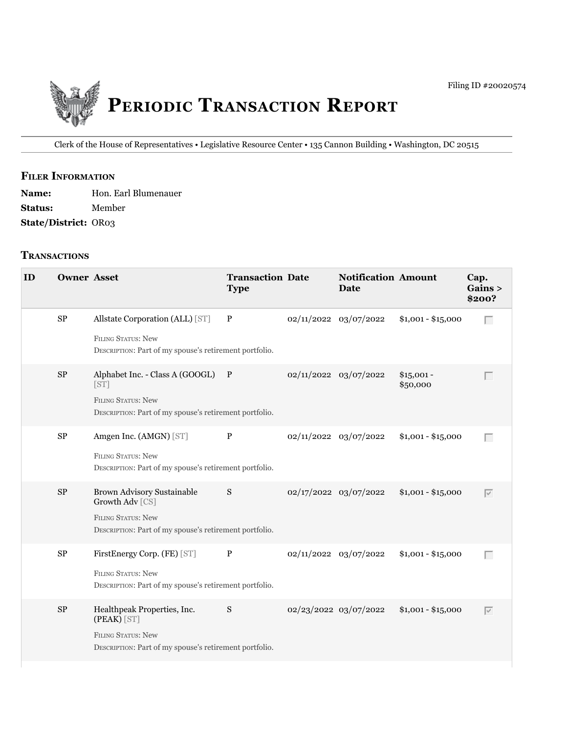

Clerk of the House of Representatives • legislative Resource Center • 135 Cannon Building • Washington, DC 20515

## **fIler INfOrmATION**

| <b>Name:</b>                | Hon. Earl Blumenauer |
|-----------------------------|----------------------|
| <b>Status:</b>              | Member               |
| <b>State/District: OR03</b> |                      |

## **TrANSACTIONS**

| ID | <b>Owner Asset</b> |                                                                                                                                             | <b>Transaction Date</b><br><b>Type</b> | <b>Notification Amount</b><br><b>Date</b> |                         | Cap.<br>Gains ><br>\$200?       |
|----|--------------------|---------------------------------------------------------------------------------------------------------------------------------------------|----------------------------------------|-------------------------------------------|-------------------------|---------------------------------|
|    | $\rm SP$           | Allstate Corporation (ALL) [ST]<br><b>FILING STATUS: New</b><br>DESCRIPTION: Part of my spouse's retirement portfolio.                      | $\mathbf{P}$                           | 02/11/2022 03/07/2022                     | $$1,001 - $15,000$      | $\Box$                          |
|    | $\rm SP$           | Alphabet Inc. - Class A (GOOGL) P<br>[ST]<br><b>FILING STATUS: New</b><br>DESCRIPTION: Part of my spouse's retirement portfolio.            |                                        | 02/11/2022 03/07/2022                     | $$15,001 -$<br>\$50,000 | Г                               |
|    | ${\rm SP}$         | Amgen Inc. (AMGN) [ST]<br><b>FILING STATUS: New</b><br>DESCRIPTION: Part of my spouse's retirement portfolio.                               | $\mathbf{P}$                           | 02/11/2022 03/07/2022                     | $$1,001 - $15,000$      | $\Box$                          |
|    | $\rm SP$           | <b>Brown Advisory Sustainable</b><br>Growth Adv [CS]<br><b>FILING STATUS: New</b><br>DESCRIPTION: Part of my spouse's retirement portfolio. | S                                      | 02/17/2022 03/07/2022                     | $$1,001 - $15,000$      | $\overline{\vee}$               |
|    | $\rm SP$           | FirstEnergy Corp. (FE) [ST]<br>FILING STATUS: New<br>DESCRIPTION: Part of my spouse's retirement portfolio.                                 | $\mathbf{P}$                           | 02/11/2022 03/07/2022                     | $$1,001 - $15,000$      | $\Box$                          |
|    | SP                 | Healthpeak Properties, Inc.<br>(PEAK) [ST]<br>FILING STATUS: New<br>DESCRIPTION: Part of my spouse's retirement portfolio.                  | S                                      | 02/23/2022 03/07/2022                     | $$1,001 - $15,000$      | $\overline{\blacktriangledown}$ |